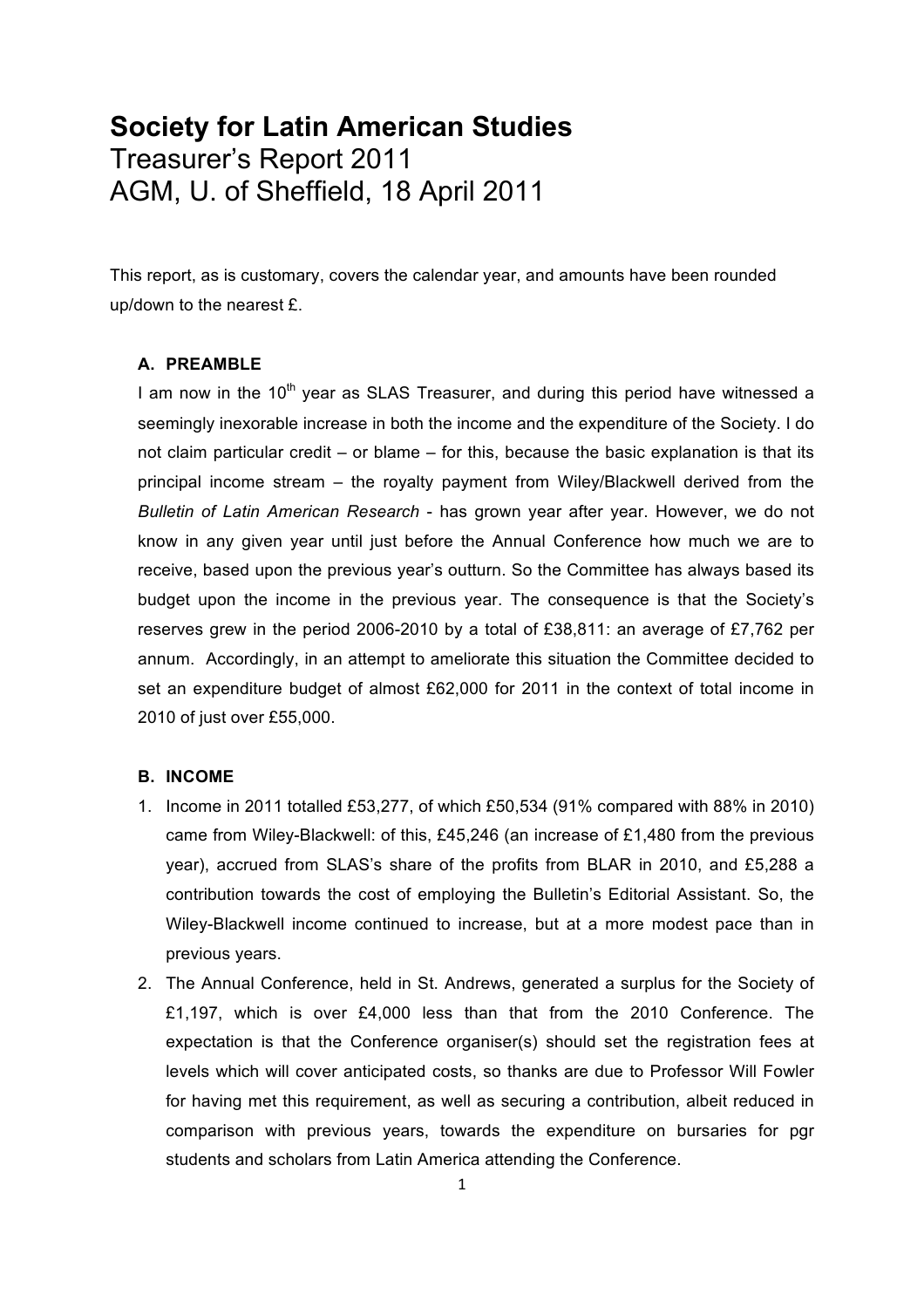# **Society for Latin American Studies** Treasurer's Report 2011 AGM, U. of Sheffield, 18 April 2011

This report, as is customary, covers the calendar year, and amounts have been rounded up/down to the nearest £.

## **A. PREAMBLE**

I am now in the  $10<sup>th</sup>$  year as SLAS Treasurer, and during this period have witnessed a seemingly inexorable increase in both the income and the expenditure of the Society. I do not claim particular credit – or blame – for this, because the basic explanation is that its principal income stream – the royalty payment from Wiley/Blackwell derived from the *Bulletin of Latin American Research* - has grown year after year. However, we do not know in any given year until just before the Annual Conference how much we are to receive, based upon the previous year's outturn. So the Committee has always based its budget upon the income in the previous year. The consequence is that the Society's reserves grew in the period 2006-2010 by a total of £38,811: an average of £7,762 per annum. Accordingly, in an attempt to ameliorate this situation the Committee decided to set an expenditure budget of almost £62,000 for 2011 in the context of total income in 2010 of just over £55,000.

### **B. INCOME**

- 1. Income in 2011 totalled £53,277, of which £50,534 (91% compared with 88% in 2010) came from Wiley-Blackwell: of this, £45,246 (an increase of £1,480 from the previous year), accrued from SLAS's share of the profits from BLAR in 2010, and £5,288 a contribution towards the cost of employing the Bulletin's Editorial Assistant. So, the Wiley-Blackwell income continued to increase, but at a more modest pace than in previous years.
- 2. The Annual Conference, held in St. Andrews, generated a surplus for the Society of £1,197, which is over £4,000 less than that from the 2010 Conference. The expectation is that the Conference organiser(s) should set the registration fees at levels which will cover anticipated costs, so thanks are due to Professor Will Fowler for having met this requirement, as well as securing a contribution, albeit reduced in comparison with previous years, towards the expenditure on bursaries for pgr students and scholars from Latin America attending the Conference.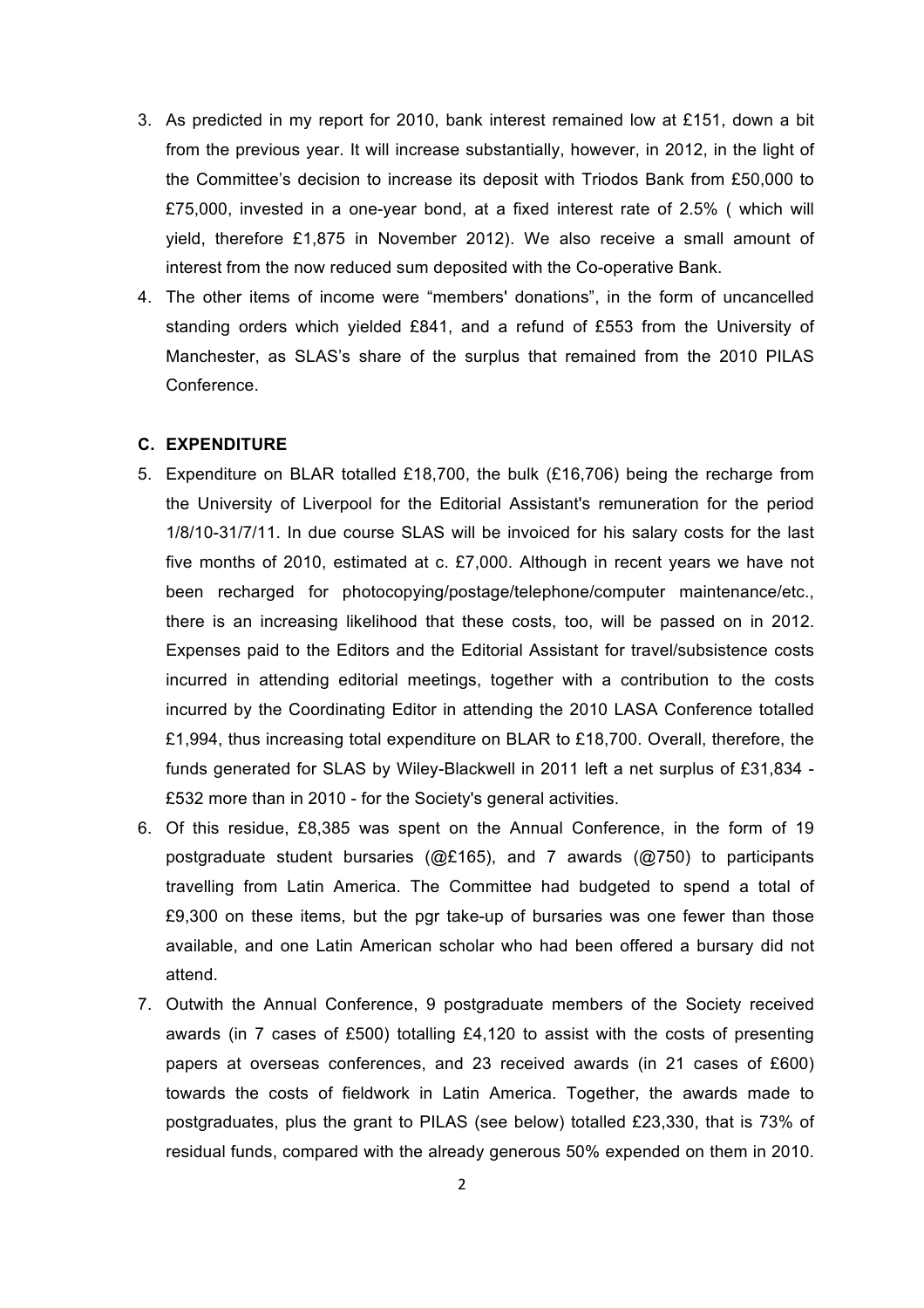- 3. As predicted in my report for 2010, bank interest remained low at £151, down a bit from the previous year. It will increase substantially, however, in 2012, in the light of the Committee's decision to increase its deposit with Triodos Bank from £50,000 to £75,000, invested in a one-year bond, at a fixed interest rate of 2.5% ( which will yield, therefore £1,875 in November 2012). We also receive a small amount of interest from the now reduced sum deposited with the Co-operative Bank.
- 4. The other items of income were "members' donations", in the form of uncancelled standing orders which yielded £841, and a refund of £553 from the University of Manchester, as SLAS's share of the surplus that remained from the 2010 PILAS Conference.

#### **C. EXPENDITURE**

- 5. Expenditure on BLAR totalled £18,700, the bulk (£16,706) being the recharge from the University of Liverpool for the Editorial Assistant's remuneration for the period 1/8/10-31/7/11. In due course SLAS will be invoiced for his salary costs for the last five months of 2010, estimated at c. £7,000. Although in recent years we have not been recharged for photocopying/postage/telephone/computer maintenance/etc., there is an increasing likelihood that these costs, too, will be passed on in 2012. Expenses paid to the Editors and the Editorial Assistant for travel/subsistence costs incurred in attending editorial meetings, together with a contribution to the costs incurred by the Coordinating Editor in attending the 2010 LASA Conference totalled £1,994, thus increasing total expenditure on BLAR to £18,700. Overall, therefore, the funds generated for SLAS by Wiley-Blackwell in 2011 left a net surplus of £31,834 - £532 more than in 2010 - for the Society's general activities.
- 6. Of this residue, £8,385 was spent on the Annual Conference, in the form of 19 postgraduate student bursaries (@£165), and 7 awards (@750) to participants travelling from Latin America. The Committee had budgeted to spend a total of £9,300 on these items, but the pgr take-up of bursaries was one fewer than those available, and one Latin American scholar who had been offered a bursary did not attend.
- 7. Outwith the Annual Conference, 9 postgraduate members of the Society received awards (in 7 cases of £500) totalling £4,120 to assist with the costs of presenting papers at overseas conferences, and 23 received awards (in 21 cases of £600) towards the costs of fieldwork in Latin America. Together, the awards made to postgraduates, plus the grant to PILAS (see below) totalled £23,330, that is 73% of residual funds, compared with the already generous 50% expended on them in 2010.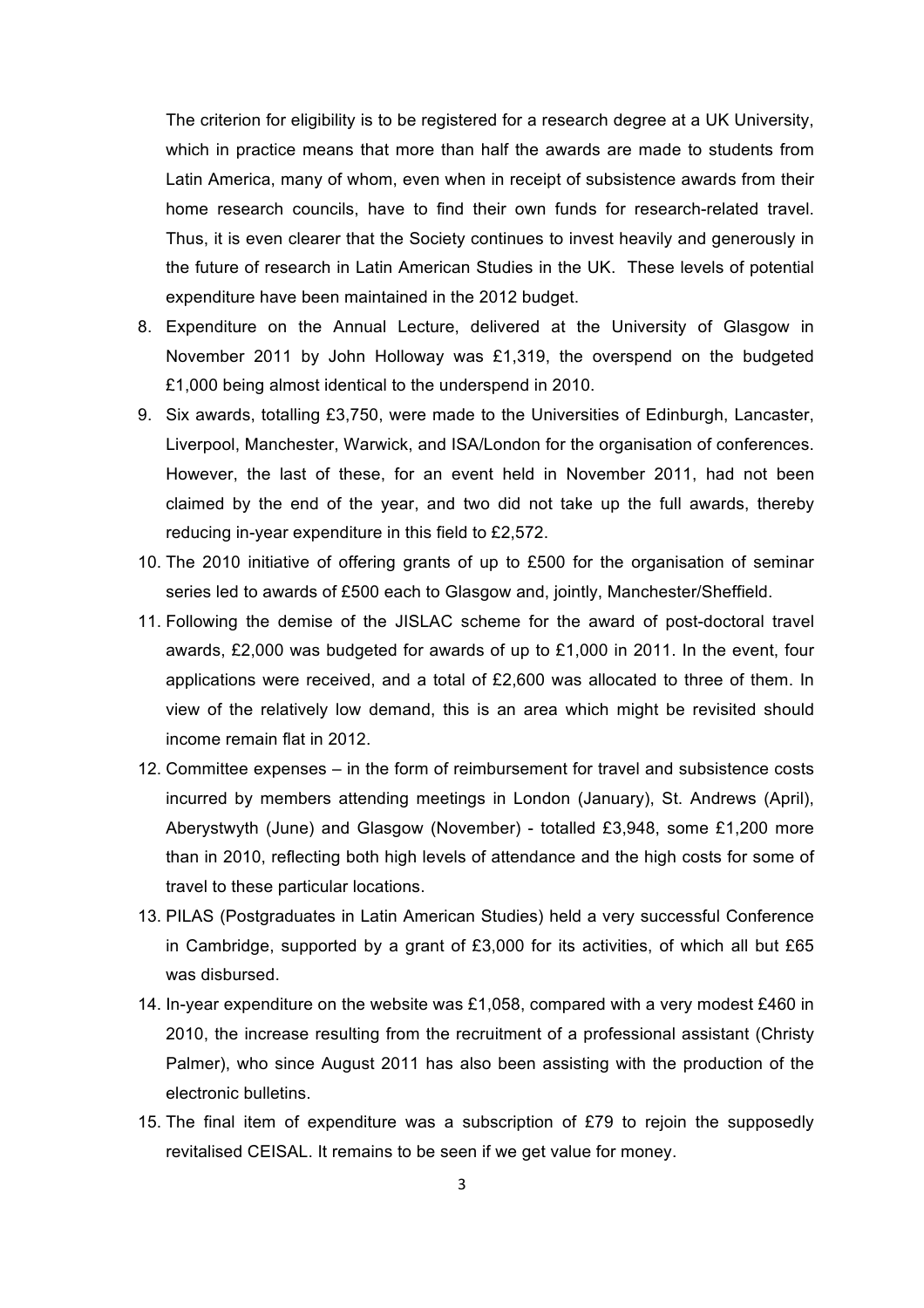The criterion for eligibility is to be registered for a research degree at a UK University, which in practice means that more than half the awards are made to students from Latin America, many of whom, even when in receipt of subsistence awards from their home research councils, have to find their own funds for research-related travel. Thus, it is even clearer that the Society continues to invest heavily and generously in the future of research in Latin American Studies in the UK. These levels of potential expenditure have been maintained in the 2012 budget.

- 8. Expenditure on the Annual Lecture, delivered at the University of Glasgow in November 2011 by John Holloway was £1,319, the overspend on the budgeted £1,000 being almost identical to the underspend in 2010.
- 9. Six awards, totalling £3,750, were made to the Universities of Edinburgh, Lancaster, Liverpool, Manchester, Warwick, and ISA/London for the organisation of conferences. However, the last of these, for an event held in November 2011, had not been claimed by the end of the year, and two did not take up the full awards, thereby reducing in-year expenditure in this field to £2,572.
- 10. The 2010 initiative of offering grants of up to £500 for the organisation of seminar series led to awards of £500 each to Glasgow and, jointly, Manchester/Sheffield.
- 11. Following the demise of the JISLAC scheme for the award of post-doctoral travel awards, £2,000 was budgeted for awards of up to £1,000 in 2011. In the event, four applications were received, and a total of £2,600 was allocated to three of them. In view of the relatively low demand, this is an area which might be revisited should income remain flat in 2012.
- 12. Committee expenses in the form of reimbursement for travel and subsistence costs incurred by members attending meetings in London (January), St. Andrews (April), Aberystwyth (June) and Glasgow (November) - totalled £3,948, some £1,200 more than in 2010, reflecting both high levels of attendance and the high costs for some of travel to these particular locations.
- 13. PILAS (Postgraduates in Latin American Studies) held a very successful Conference in Cambridge, supported by a grant of £3,000 for its activities, of which all but £65 was disbursed.
- 14. In-year expenditure on the website was £1,058, compared with a very modest £460 in 2010, the increase resulting from the recruitment of a professional assistant (Christy Palmer), who since August 2011 has also been assisting with the production of the electronic bulletins.
- 15. The final item of expenditure was a subscription of £79 to rejoin the supposedly revitalised CEISAL. It remains to be seen if we get value for money.